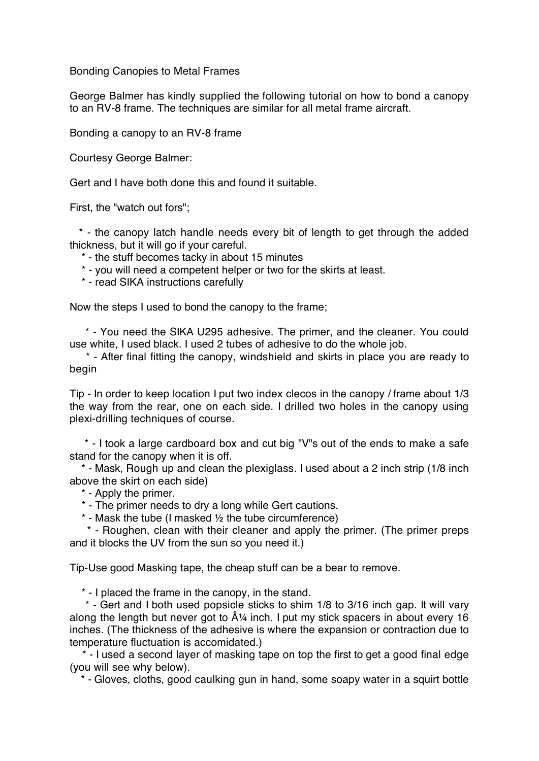Bonding Canopies to Metal Frames

George Balmer has kindly supplied the following tutorial on how to bond a canopy to an RV-8 frame. The techniques are similar for all metal frame aircraft.

Bonding a canopy to an RV-8 frame

Courtesy George Balmer:

Gert and I have both done this and found it suitable.

First, the "watch out fors";

\* - the canopy latch handle needs every bit of length to get through the added thickness, but it will go if your careful.

\* - the stuff becomes tacky in about 15 minutes

\* - you will need a competent helper or two for the skirts at least.

\* - read SIKA instructions carefully

Now the steps I used to bond the canopy to the frame;

\* - You need the SIKA U295 adhesive. The primer, and the cleaner. You could use white, I used black. I used 2 tubes of adhesive to do the whole job.

\* - After final fitting the canopy, windshield and skirts in place you are ready to begin

Tip - In order to keep location I put two index clecos in the canopy / frame about 1/3 the way from the rear, one on each side. I drilled two holes in the canopy using plexi-drilling techniques of course.

\* - I took a large cardboard box and cut big "V"s out of the ends to make a safe stand for the canopy when it is off.

\* - Mask, Rough up and clean the plexiglass. I used about a 2 inch strip (1/8 inch above the skirt on each side)

\* - Apply the primer.

\* - The primer needs to dry a long while Gert cautions.

\* - Mask the tube (I masked ½ the tube circumference)

\* - Roughen, clean with their cleaner and apply the primer. (The primer preps and it blocks the UV from the sun so you need it.)

Tip-Use good Masking tape, the cheap stuff can be a bear to remove.

\* - I placed the frame in the canopy, in the stand.

\* - Gert and I both used popsicle sticks to shim 1/8 to 3/16 inch gap. It will vary along the length but never got to  $\hat{A}$ <sup>14</sup> inch. I put my stick spacers in about every 16 inches. (The thickness of the adhesive is where the expansion or contraction due to temperature fluctuation is accomidated.)

\* - I used a second layer of masking tape on top the first to get a good final edge (you will see why below).

\* - Gloves, cloths, good caulking gun in hand, some soapy water in a squirt bottle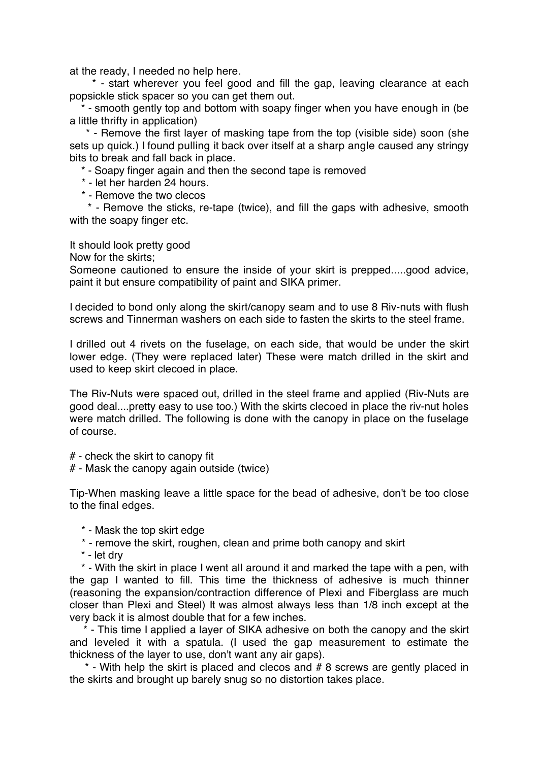at the ready, I needed no help here.

\* - start wherever you feel good and fill the gap, leaving clearance at each popsickle stick spacer so you can get them out.

\* - smooth gently top and bottom with soapy finger when you have enough in (be a little thrifty in application)

\* - Remove the first layer of masking tape from the top (visible side) soon (she sets up quick.) I found pulling it back over itself at a sharp angle caused any stringy bits to break and fall back in place.

\* - Soapy finger again and then the second tape is removed

- \* let her harden 24 hours.
- \* Remove the two clecos

\* - Remove the sticks, re-tape (twice), and fill the gaps with adhesive, smooth with the soapy finger etc.

It should look pretty good

Now for the skirts;

Someone cautioned to ensure the inside of your skirt is prepped.....good advice, paint it but ensure compatibility of paint and SIKA primer.

I decided to bond only along the skirt/canopy seam and to use 8 Riv-nuts with flush screws and Tinnerman washers on each side to fasten the skirts to the steel frame.

I drilled out 4 rivets on the fuselage, on each side, that would be under the skirt lower edge. (They were replaced later) These were match drilled in the skirt and used to keep skirt clecoed in place.

The Riv-Nuts were spaced out, drilled in the steel frame and applied (Riv-Nuts are good deal....pretty easy to use too.) With the skirts clecoed in place the riv-nut holes were match drilled. The following is done with the canopy in place on the fuselage of course.

# - check the skirt to canopy fit

# - Mask the canopy again outside (twice)

Tip-When masking leave a little space for the bead of adhesive, don't be too close to the final edges.

\* - Mask the top skirt edge

- \* remove the skirt, roughen, clean and prime both canopy and skirt
- \* let dry

\* - With the skirt in place I went all around it and marked the tape with a pen, with the gap I wanted to fill. This time the thickness of adhesive is much thinner (reasoning the expansion/contraction difference of Plexi and Fiberglass are much closer than Plexi and Steel) It was almost always less than 1/8 inch except at the very back it is almost double that for a few inches.

\* - This time I applied a layer of SIKA adhesive on both the canopy and the skirt and leveled it with a spatula. (I used the gap measurement to estimate the thickness of the layer to use, don't want any air gaps).

\* - With help the skirt is placed and clecos and # 8 screws are gently placed in the skirts and brought up barely snug so no distortion takes place.